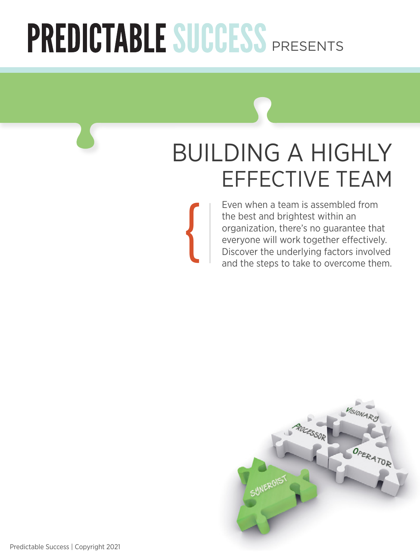# PREDICTABLE SUCCESS PRESENTS

{

# Building a Highly Effective Team

Even when a team is assembled from the best and brightest within an organization, there's no guarantee that everyone will work together effectively. Discover the underlying factors involved and the steps to take to overcome them.

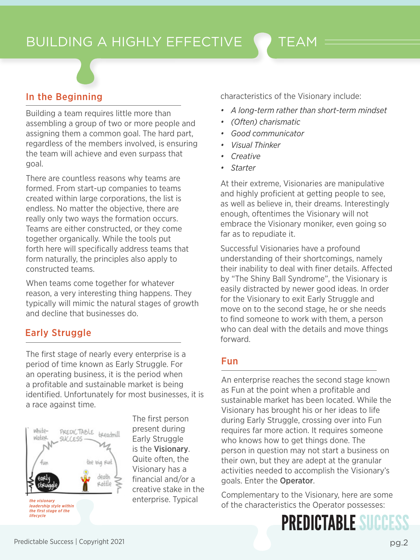

#### In the Beginning

Building a team requires little more than assembling a group of two or more people and assigning them a common goal. The hard part, regardless of the members involved, is ensuring the team will achieve and even surpass that goal.

There are countless reasons why teams are formed. From start-up companies to teams created within large corporations, the list is endless. No matter the objective, there are really only two ways the formation occurs. Teams are either constructed, or they come together organically. While the tools put forth here will specifically address teams that form naturally, the principles also apply to constructed teams.

When teams come together for whatever reason, a very interesting thing happens. They typically will mimic the natural stages of growth and decline that businesses do.

#### Early Struggle

The first stage of nearly every enterprise is a period of time known as Early Struggle. For an operating business, it is the period when a profitable and sustainable market is being identified. Unfortunately for most businesses, it is a race against time.



The first person present during Early Struggle is the Visionary. Quite often, the Visionary has a financial and/or a creative stake in the enterprise. Typical

characteristics of the Visionary include:

- *• A long-term rather than short-term mindset*
- *• (Often) charismatic*
- *• Good communicator*
- *• Visual Thinker*
- *• Creative*
- *• Starter*

At their extreme, Visionaries are manipulative and highly proficient at getting people to see, as well as believe in, their dreams. Interestingly enough, oftentimes the Visionary will not embrace the Visionary moniker, even going so far as to repudiate it.

Successful Visionaries have a profound understanding of their shortcomings, namely their inability to deal with finer details. Affected by "The Shiny Ball Syndrome", the Visionary is easily distracted by newer good ideas. In order for the Visionary to exit Early Struggle and move on to the second stage, he or she needs to find someone to work with them, a person who can deal with the details and move things forward.

#### Fun

An enterprise reaches the second stage known as Fun at the point when a profitable and sustainable market has been located. While the Visionary has brought his or her ideas to life during Early Struggle, crossing over into Fun requires far more action. It requires someone who knows how to get things done. The person in question may not start a business on their own, but they are adept at the granular activities needed to accomplish the Visionary's goals. Enter the Operator.

Complementary to the Visionary, here are some of the characteristics the Operator possesses: *the visionary*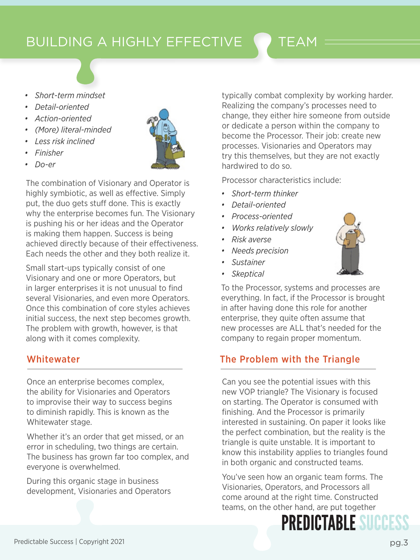*• Short-term mindset*

- *• Detail-oriented*
- *• Action-oriented*
- *• (More) literal-minded*
- *• Less risk inclined*
- *• Finisher*
- *• Do-er*

The combination of Visionary and Operator is highly symbiotic, as well as effective. Simply put, the duo gets stuff done. This is exactly why the enterprise becomes fun. The Visionary is pushing his or her ideas and the Operator is making them happen. Success is being achieved directly because of their effectiveness. Each needs the other and they both realize it.

Small start-ups typically consist of one Visionary and one or more Operators, but in larger enterprises it is not unusual to find several Visionaries, and even more Operators. Once this combination of core styles achieves initial success, the next step becomes growth. The problem with growth, however, is that along with it comes complexity.

#### Whitewater

Once an enterprise becomes complex, the ability for Visionaries and Operators to improvise their way to success begins to diminish rapidly. This is known as the Whitewater stage.

Whether it's an order that get missed, or an error in scheduling, two things are certain. The business has grown far too complex, and everyone is overwhelmed.

During this organic stage in business development, Visionaries and Operators

typically combat complexity by working harder. Realizing the company's processes need to change, they either hire someone from outside or dedicate a person within the company to become the Processor. Their job: create new processes. Visionaries and Operators may try this themselves, but they are not exactly hardwired to do so.

Processor characteristics include:

- *• Short-term thinker*
- *• Detail-oriented*
- *• Process-oriented*
- *• Works relatively slowly*
- *• Risk averse*
- *• Needs precision*
- *• Sustainer*
- *• Skeptical*

To the Processor, systems and processes are everything. In fact, if the Processor is brought in after having done this role for another enterprise, they quite often assume that new processes are ALL that's needed for the company to regain proper momentum.

#### The Problem with the Triangle

Can you see the potential issues with this new VOP triangle? The Visionary is focused on starting. The Operator is consumed with finishing. And the Processor is primarily interested in sustaining. On paper it looks like the perfect combination, but the reality is the triangle is quite unstable. It is important to know this instability applies to triangles found in both organic and constructed teams.

You've seen how an organic team forms. The Visionaries, Operators, and Processors all come around at the right time. Constructed teams, on the other hand, are put together

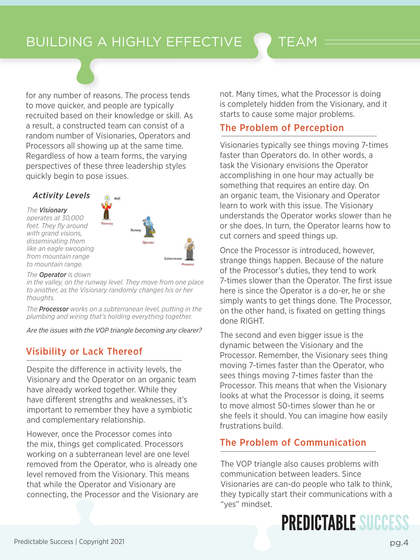for any number of reasons. The process tends to move quicker, and people are typically recruited based on their knowledge or skill. As a result, a constructed team can consist of a random number of Visionaries, Operators and Processors all showing up at the same time. Regardless of how a team forms, the varying perspectives of these three leadership styles quickly begin to pose issues.

#### *Activity Levels*

*The Visionary*

*operates at 30,000 feet. They fly around with grand visions, disseminating them like an eagle swooping from mountain range to mountain range.*



*The Operator is down*

*in the valley, on the runway level. They move from one place to another, as the Visionary randomly changes his or her thoughts.*

*The Processor works on a subterranean level, putting in the plumbing and wiring that's holding everything together.*

*Are the issues with the VOP triangle becoming any clearer?*

#### Visibility or Lack Thereof

Despite the difference in activity levels, the Visionary and the Operator on an organic team have already worked together. While they have different strengths and weaknesses, it's important to remember they have a symbiotic and complementary relationship.

However, once the Processor comes into the mix, things get complicated. Processors working on a subterranean level are one level removed from the Operator, who is already one level removed from the Visionary. This means that while the Operator and Visionary are connecting, the Processor and the Visionary are not. Many times, what the Processor is doing is completely hidden from the Visionary, and it starts to cause some major problems.

#### The Problem of Perception

Visionaries typically see things moving 7-times faster than Operators do. In other words, a task the Visionary envisions the Operator accomplishing in one hour may actually be something that requires an entire day. On an organic team, the Visionary and Operator learn to work with this issue. The Visionary understands the Operator works slower than he or she does. In turn, the Operator learns how to cut corners and speed things up.

Once the Processor is introduced, however, strange things happen. Because of the nature of the Processor's duties, they tend to work 7-times slower than the Operator. The first issue here is since the Operator is a do-er, he or she simply wants to get things done. The Processor, on the other hand, is fixated on getting things done RIGHT.

The second and even bigger issue is the dynamic between the Visionary and the Processor. Remember, the Visionary sees thing moving 7-times faster than the Operator, who sees things moving 7-times faster than the Processor. This means that when the Visionary looks at what the Processor is doing, it seems to move almost 50-times slower than he or she feels it should. You can imagine how easily frustrations build.

#### The Problem of Communication

The VOP triangle also causes problems with communication between leaders. Since Visionaries are can-do people who talk to think, they typically start their communications with a "yes" mindset.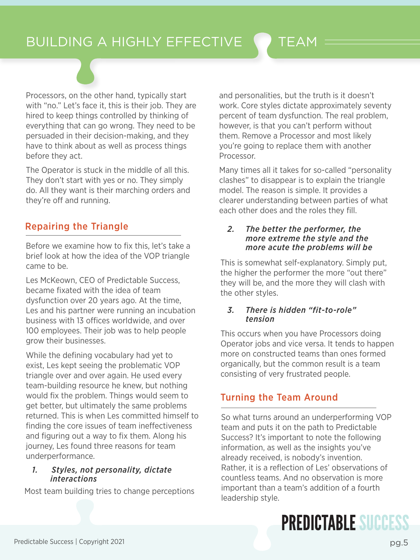Processors, on the other hand, typically start with "no." Let's face it, this is their job. They are hired to keep things controlled by thinking of everything that can go wrong. They need to be persuaded in their decision-making, and they have to think about as well as process things before they act.

The Operator is stuck in the middle of all this. They don't start with yes or no. They simply do. All they want is their marching orders and they're off and running.

#### Repairing the Triangle

Before we examine how to fix this, let's take a brief look at how the idea of the VOP triangle came to be.

Les McKeown, CEO of Predictable Success, became fixated with the idea of team dysfunction over 20 years ago. At the time, Les and his partner were running an incubation business with 13 offices worldwide, and over 100 employees. Their job was to help people grow their businesses.

While the defining vocabulary had yet to exist, Les kept seeing the problematic VOP triangle over and over again. He used every team-building resource he knew, but nothing would fix the problem. Things would seem to get better, but ultimately the same problems returned. This is when Les committed himself to finding the core issues of team ineffectiveness and figuring out a way to fix them. Along his journey, Les found three reasons for team underperformance.

#### *1. Styles, not personality, dictate interactions*

Most team building tries to change perceptions

and personalities, but the truth is it doesn't work. Core styles dictate approximately seventy percent of team dysfunction. The real problem, however, is that you can't perform without them. Remove a Processor and most likely you're going to replace them with another Processor.

Many times all it takes for so-called "personality clashes" to disappear is to explain the triangle model. The reason is simple. It provides a clearer understanding between parties of what each other does and the roles they fill.

#### *2. The better the performer, the more extreme the style and the more acute the problems will be*

This is somewhat self-explanatory. Simply put, the higher the performer the more "out there" they will be, and the more they will clash with the other styles.

#### *3. There is hidden "fit-to-role" tension*

This occurs when you have Processors doing Operator jobs and vice versa. It tends to happen more on constructed teams than ones formed organically, but the common result is a team consisting of very frustrated people.

#### Turning the Team Around

So what turns around an underperforming VOP team and puts it on the path to Predictable Success? It's important to note the following information, as well as the insights you've already received, is nobody's invention. Rather, it is a reflection of Les' observations of countless teams. And no observation is more important than a team's addition of a fourth leadership style.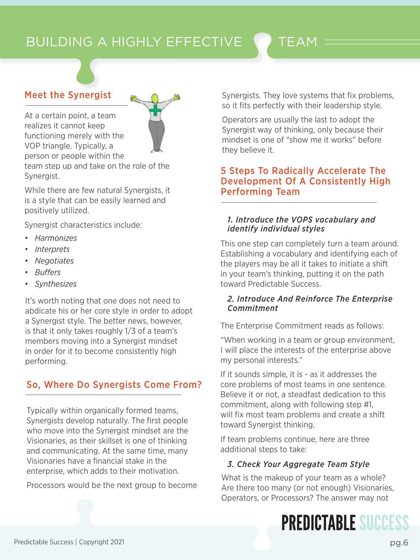

#### Meet the Synergist

At a certain point, a team realizes it cannot keep functioning merely with the VOP triangle. Typically, a person or people within the

team step up and take on the role of the Synergist.

While there are few natural Synergists, it is a style that can be easily learned and positively utilized.

Synergist characteristics include:

- *• Harmonizes*
- *• Interprets*
- *• Negotiates*
- *• Buffers*
- *• Synthesizes*

It's worth noting that one does not need to abdicate his or her core style in order to adopt a Synergist style. The better news, however, is that it only takes roughly 1/3 of a team's members moving into a Synergist mindset in order for it to become consistently high performing.

#### So, Where Do Synergists Come From?

Typically within organically formed teams, Synergists develop naturally. The first people who move into the Synergist mindset are the Visionaries, as their skillset is one of thinking and communicating. At the same time, many Visionaries have a financial stake in the enterprise, which adds to their motivation.

Processors would be the next group to become

Synergists. They love systems that fix problems, so it fits perfectly with their leadership style.

Operators are usually the last to adopt the Synergist way of thinking, only because their mindset is one of "show me it works" before they believe it.

#### 5 Steps To Radically Accelerate The Development Of A Consistently High Performing Team

#### *1. Introduce the VOPS vocabulary and identify individual styles*

This one step can completely turn a team around. Establishing a vocabulary and identifying each of the players may be all it takes to initiate a shift in your team's thinking, putting it on the path toward Predictable Success.

#### *2. Introduce And Reinforce The Enterprise Commitment*

The Enterprise Commitment reads as follows:

"When working in a team or group environment, I will place the interests of the enterprise above my personal interests."

If it sounds simple, it is - as it addresses the core problems of most teams in one sentence. Believe it or not, a steadfast dedication to this commitment, along with following step #1, will fix most team problems and create a shift toward Synergist thinking.

If team problems continue, here are three additional steps to take:

#### *3. Check Your Aggregate Team Style*

What is the makeup of your team as a whole? Are there too many (or not enough) Visionaries, Operators, or Processors? The answer may not